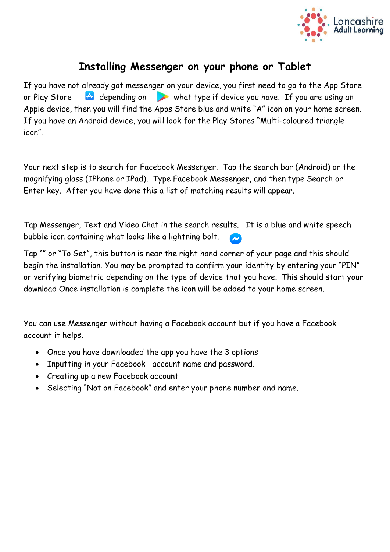

# **Installing Messenger on your phone or Tablet**

If you have not already got messenger on your device, you first need to go to the App Store or Play Store  $\overline{A}$  depending on what type if device you have. If you are using an Apple device, then you will find the Apps Store blue and white "A" icon on your home screen. If you have an Android device, you will look for the Play Stores "Multi-coloured triangle icon".

Your next step is to search for Facebook Messenger. Tap the search bar (Android) or the magnifying glass (IPhone or IPad). Type Facebook Messenger, and then type Search or Enter key. After you have done this a list of matching results will appear.

Tap Messenger, Text and Video Chat in the search results. It is a blue and white speech bubble icon containing what looks like a lightning bolt.

Tap "" or "To Get", this button is near the right hand corner of your page and this should begin the installation. You may be prompted to confirm your identity by entering your "PIN" or verifying biometric depending on the type of device that you have. This should start your download Once installation is complete the icon will be added to your home screen.

You can use Messenger without having a Facebook account but if you have a Facebook account it helps.

- Once you have downloaded the app you have the 3 options
- Inputting in your Facebook account name and password.
- Creating up a new Facebook account
- Selecting "Not on Facebook" and enter your phone number and name.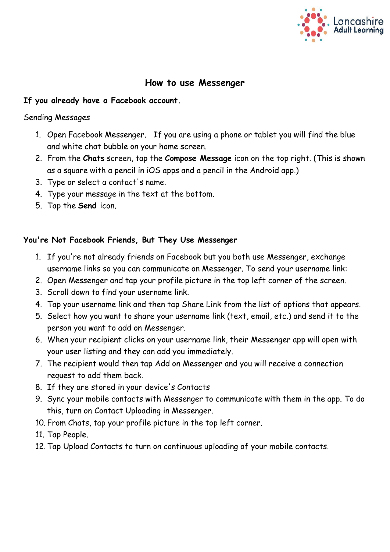

# **How to use Messenger**

# **If you already have a Facebook account.**

#### Sending Messages

- 1. Open Facebook Messenger. If you are using a phone or tablet you will find the blue and white chat bubble on your home screen.
- 2. From the **Chats** screen, tap the **Compose Message** icon on the top right. (This is shown as a square with a pencil in iOS apps and a pencil in the Android app.)
- 3. Type or select a contact's name.
- 4. Type your message in the text at the bottom.
- 5. Tap the **Send** icon.

# **You're Not Facebook Friends, But They Use Messenger**

- 1. If you're not already friends on Facebook but you both use Messenger, exchange username links so you can communicate on Messenger. To send your username link:
- 2. Open Messenger and tap your profile picture in the top left corner of the screen.
- 3. Scroll down to find your username link.
- 4. Tap your username link and then tap Share Link from the list of options that appears.
- 5. Select how you want to share your username link (text, email, etc.) and send it to the person you want to add on Messenger.
- 6. When your recipient clicks on your username link, their Messenger app will open with your user listing and they can add you immediately.
- 7. The recipient would then tap Add on Messenger and you will receive a connection request to add them back.
- 8. If they are stored in your device's Contacts
- 9. Sync your mobile contacts with Messenger to communicate with them in the app. To do this, turn on Contact Uploading in Messenger.
- 10. From Chats, tap your profile picture in the top left corner.
- 11. Tap People.
- 12. Tap Upload Contacts to turn on continuous uploading of your mobile contacts.